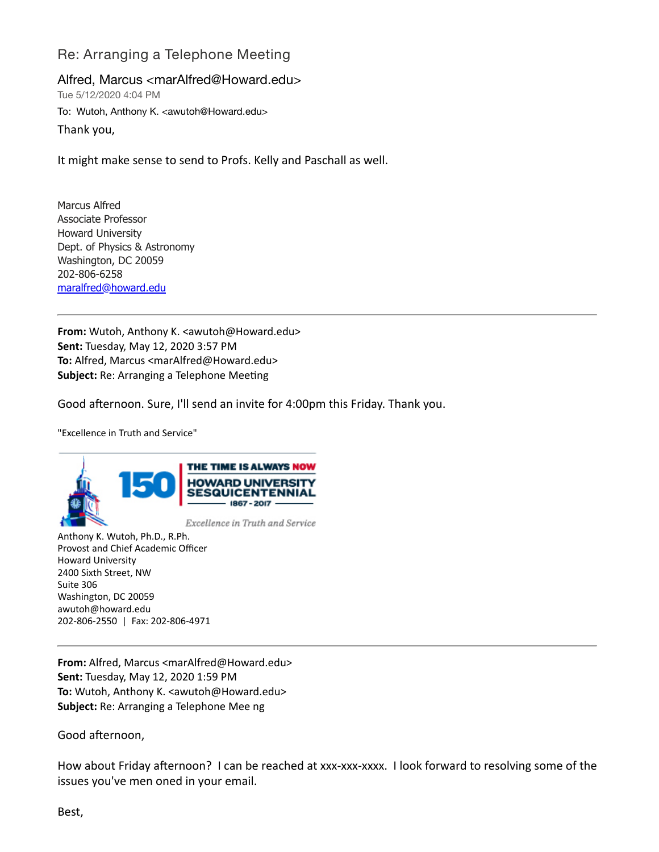## Re: Arranging a Telephone Meeting

Alfred, Marcus <marAlfred@Howard.edu>

Tue 5/12/2020 4:04 PM To: Wutoh, Anthony K. <awutoh@Howard.edu>

Thank you,

It might make sense to send to Profs. Kelly and Paschall as well.

Marcus Alfred Associate Professor Howard University Dept. of Physics & Astronomy Washington, DC 20059 202-806-6258 [maralfred@howard.edu](mailto:maralfred@howard.edu)

**From:** Wutoh, Anthony K. <awutoh@Howard.edu> **Sent:** Tuesday, May 12, 2020 3:57 PM **To:** Alfred, Marcus <marAlfred@Howard.edu> **Subject:** Re: Arranging a Telephone Meeting

Good afternoon. Sure, I'll send an invite for 4:00pm this Friday. Thank you.

"Excellence in Truth and Service"



Excellence in Truth and Service

Anthony K. Wutoh, Ph.D., R.Ph. Provost and Chief Academic Officer Howard University 2400 Sixth Street, NW Suite 306 Washington, DC 20059 awutoh@howard.edu 202-806-2550 | Fax: 202-806-4971

**From:** Alfred, Marcus <marAlfred@Howard.edu> **Sent:** Tuesday, May 12, 2020 1:59 PM **To:** Wutoh, Anthony K. <awutoh@Howard.edu> **Subject:** Re: Arranging a Telephone Mee ng

Good afternoon,

How about Friday afternoon? I can be reached at xxx-xxx-xxxx. I look forward to resolving some of the issues you've men oned in your email.

Best,